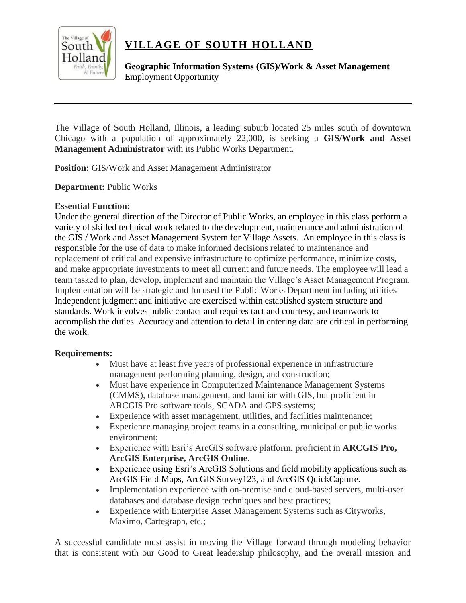

## **VILLAGE OF SOUTH HOLLAND**

**Geographic Information Systems (GIS)/Work & Asset Management**  Employment Opportunity

The Village of South Holland, Illinois, a leading suburb located 25 miles south of downtown Chicago with a population of approximately 22,000, is seeking a **GIS/Work and Asset Management Administrator** with its Public Works Department.

**Position:** GIS/Work and Asset Management Administrator

**Department:** Public Works

## **Essential Function:**

Under the general direction of the Director of Public Works, an employee in this class perform a variety of skilled technical work related to the development, maintenance and administration of the GIS / Work and Asset Management System for Village Assets. An employee in this class is responsible for the use of data to make informed decisions related to maintenance and replacement of critical and expensive infrastructure to optimize performance, minimize costs, and make appropriate investments to meet all current and future needs. The employee will lead a team tasked to plan, develop, implement and maintain the Village's Asset Management Program. Implementation will be strategic and focused the Public Works Department including utilities Independent judgment and initiative are exercised within established system structure and standards. Work involves public contact and requires tact and courtesy, and teamwork to accomplish the duties. Accuracy and attention to detail in entering data are critical in performing the work.

## **Requirements:**

- Must have at least five years of professional experience in infrastructure management performing planning, design, and construction;
- Must have experience in Computerized Maintenance Management Systems (CMMS), database management, and familiar with GIS, but proficient in ARCGIS Pro software tools, SCADA and GPS systems;
- Experience with asset management, utilities, and facilities maintenance;
- Experience managing project teams in a consulting, municipal or public works environment;
- Experience with Esri's ArcGIS software platform, proficient in **ARCGIS Pro, ArcGIS Enterprise, ArcGIS Online**.
- Experience using Esri's ArcGIS Solutions and field mobility applications such as ArcGIS Field Maps, ArcGIS Survey123, and ArcGIS QuickCapture.
- Implementation experience with on-premise and cloud-based servers, multi-user databases and database design techniques and best practices;
- Experience with Enterprise Asset Management Systems such as Cityworks, Maximo, Cartegraph, etc.;

A successful candidate must assist in moving the Village forward through modeling behavior that is consistent with our Good to Great leadership philosophy, and the overall mission and